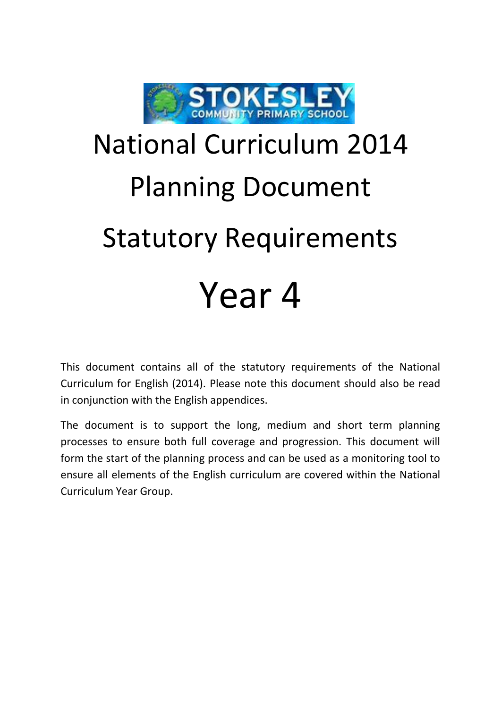

## National Curriculum 2014 Planning Document Statutory Requirements Year 4

This document contains all of the statutory requirements of the National Curriculum for English (2014). Please note this document should also be read in conjunction with the English appendices.

The document is to support the long, medium and short term planning processes to ensure both full coverage and progression. This document will form the start of the planning process and can be used as a monitoring tool to ensure all elements of the English curriculum are covered within the National Curriculum Year Group.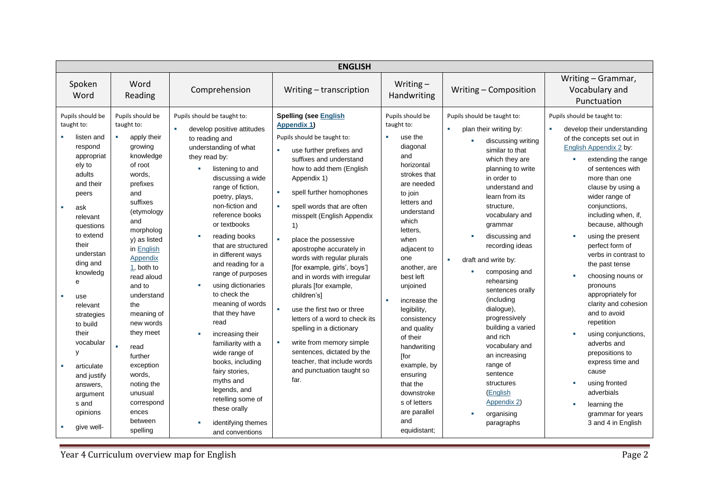| <b>ENGLISH</b>                                                                                                                                                                                                                                                                                                                                                                              |                                                                                                                                                                                                                                                                                                                                                                                                                           |                                                                                                                                                                                                                                                                                                                                                                                                                                                                                                                                                                                                                                                                                                       |                                                                                                                                                                                                                                                                                                                                                                                                                                                                                                                                                                                                                                                                                                                        |                                                                                                                                                                                                                                                                                                                                                                                                                                                                |                                                                                                                                                                                                                                                                                                                                                                                                                                                                                                                                                                                       |                                                                                                                                                                                                                                                                                                                                                                                                                                                                                                                                                                                                                                                                   |  |
|---------------------------------------------------------------------------------------------------------------------------------------------------------------------------------------------------------------------------------------------------------------------------------------------------------------------------------------------------------------------------------------------|---------------------------------------------------------------------------------------------------------------------------------------------------------------------------------------------------------------------------------------------------------------------------------------------------------------------------------------------------------------------------------------------------------------------------|-------------------------------------------------------------------------------------------------------------------------------------------------------------------------------------------------------------------------------------------------------------------------------------------------------------------------------------------------------------------------------------------------------------------------------------------------------------------------------------------------------------------------------------------------------------------------------------------------------------------------------------------------------------------------------------------------------|------------------------------------------------------------------------------------------------------------------------------------------------------------------------------------------------------------------------------------------------------------------------------------------------------------------------------------------------------------------------------------------------------------------------------------------------------------------------------------------------------------------------------------------------------------------------------------------------------------------------------------------------------------------------------------------------------------------------|----------------------------------------------------------------------------------------------------------------------------------------------------------------------------------------------------------------------------------------------------------------------------------------------------------------------------------------------------------------------------------------------------------------------------------------------------------------|---------------------------------------------------------------------------------------------------------------------------------------------------------------------------------------------------------------------------------------------------------------------------------------------------------------------------------------------------------------------------------------------------------------------------------------------------------------------------------------------------------------------------------------------------------------------------------------|-------------------------------------------------------------------------------------------------------------------------------------------------------------------------------------------------------------------------------------------------------------------------------------------------------------------------------------------------------------------------------------------------------------------------------------------------------------------------------------------------------------------------------------------------------------------------------------------------------------------------------------------------------------------|--|
| Spoken<br>Word                                                                                                                                                                                                                                                                                                                                                                              | Word<br>Reading                                                                                                                                                                                                                                                                                                                                                                                                           | Comprehension                                                                                                                                                                                                                                                                                                                                                                                                                                                                                                                                                                                                                                                                                         | Writing - transcription                                                                                                                                                                                                                                                                                                                                                                                                                                                                                                                                                                                                                                                                                                | Writing $-$<br>Handwriting                                                                                                                                                                                                                                                                                                                                                                                                                                     | Writing - Composition                                                                                                                                                                                                                                                                                                                                                                                                                                                                                                                                                                 | Writing - Grammar,<br>Vocabulary and<br>Punctuation                                                                                                                                                                                                                                                                                                                                                                                                                                                                                                                                                                                                               |  |
| Pupils should be<br>taught to:<br>listen and<br>respond<br>appropriat<br>ely to<br>adults<br>and their<br>peers<br>ask<br>a.<br>relevant<br>questions<br>to extend<br>their<br>understan<br>ding and<br>knowledg<br>e<br>m.<br>use<br>relevant<br>strategies<br>to build<br>their<br>vocabular<br>y<br>articulate<br>and justify<br>answers,<br>argument<br>s and<br>opinions<br>give well- | Pupils should be<br>taught to:<br>apply their<br>growing<br>knowledge<br>of root<br>words.<br>prefixes<br>and<br>suffixes<br>(etymology<br>and<br>morpholog<br>v) as listed<br>in English<br>Appendix<br>1, both to<br>read aloud<br>and to<br>understand<br>the<br>meaning of<br>new words<br>they meet<br>read<br>further<br>exception<br>words,<br>noting the<br>unusual<br>correspond<br>ences<br>between<br>spelling | Pupils should be taught to:<br>×<br>develop positive attitudes<br>to reading and<br>understanding of what<br>they read by:<br>$\alpha$<br>listening to and<br>discussing a wide<br>range of fiction,<br>poetry, plays,<br>non-fiction and<br>reference books<br>or textbooks<br>reading books<br>that are structured<br>in different ways<br>and reading for a<br>range of purposes<br>using dictionaries<br>$\blacksquare$<br>to check the<br>meaning of words<br>that they have<br>read<br>increasing their<br>familiarity with a<br>wide range of<br>books, including<br>fairy stories,<br>myths and<br>legends, and<br>retelling some of<br>these orally<br>identifying themes<br>and conventions | <b>Spelling (see English</b><br><b>Appendix 1)</b><br>Pupils should be taught to:<br>use further prefixes and<br>suffixes and understand<br>how to add them (English<br>Appendix 1)<br>spell further homophones<br>spell words that are often<br>misspelt (English Appendix<br>1)<br>place the possessive<br>apostrophe accurately in<br>words with regular plurals<br>[for example, girls', boys']<br>and in words with irregular<br>plurals [for example,<br>children's]<br>use the first two or three<br>letters of a word to check its<br>spelling in a dictionary<br>write from memory simple<br>$\blacksquare$<br>sentences, dictated by the<br>teacher, that include words<br>and punctuation taught so<br>far. | Pupils should be<br>taught to:<br>×.<br>use the<br>diagonal<br>and<br>horizontal<br>strokes that<br>are needed<br>to join<br>letters and<br>understand<br>which<br>letters,<br>when<br>adjacent to<br>one<br>another, are<br>best left<br>unjoined<br>increase the<br>legibility,<br>consistency<br>and quality<br>of their<br>handwriting<br>[for<br>example, by<br>ensuring<br>that the<br>downstroke<br>s of letters<br>are parallel<br>and<br>equidistant; | Pupils should be taught to:<br>٠<br>plan their writing by:<br>discussing writing<br>similar to that<br>which they are<br>planning to write<br>in order to<br>understand and<br>learn from its<br>structure,<br>vocabulary and<br>grammar<br>discussing and<br>recording ideas<br>$\mathbf{r}$<br>draft and write by:<br>composing and<br>rehearsing<br>sentences orally<br>(including<br>dialogue),<br>progressively<br>building a varied<br>and rich<br>vocabulary and<br>an increasing<br>range of<br>sentence<br>structures<br>(English<br>Appendix 2)<br>organising<br>paragraphs | Pupils should be taught to:<br>develop their understanding<br>of the concepts set out in<br>English Appendix 2 by:<br>extending the range<br>of sentences with<br>more than one<br>clause by using a<br>wider range of<br>conjunctions,<br>including when, if,<br>because, although<br>using the present<br>perfect form of<br>verbs in contrast to<br>the past tense<br>choosing nouns or<br>pronouns<br>appropriately for<br>clarity and cohesion<br>and to avoid<br>repetition<br>using conjunctions,<br>adverbs and<br>prepositions to<br>express time and<br>cause<br>using fronted<br>adverbials<br>learning the<br>grammar for years<br>3 and 4 in English |  |

**The Vear 4 Curriculum overview map for English Page 2**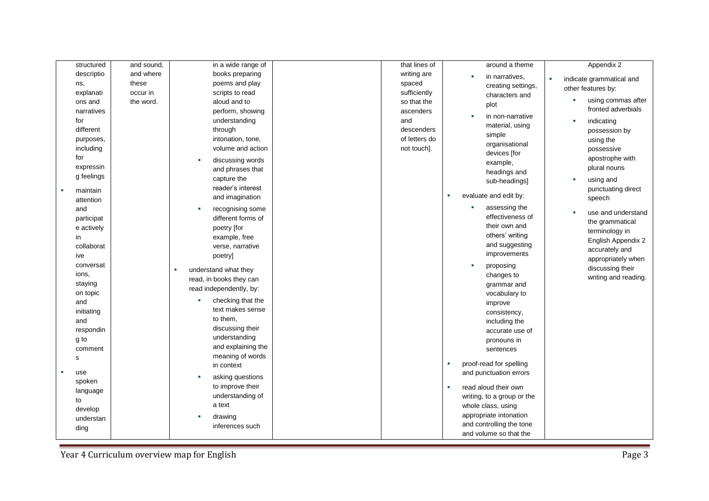| structured  | and sound, | in a wide range of        | that lines of | around a theme             | Appendix 2               |
|-------------|------------|---------------------------|---------------|----------------------------|--------------------------|
| descriptio  | and where  | books preparing           | writing are   | in narratives,             | ×                        |
| ns,         | these      | poems and play            | spaced        | creating settings,         | indicate grammatical and |
| explanati   | occur in   | scripts to read           | sufficiently  | characters and             | other features by:       |
| ons and     | the word.  | aloud and to              | so that the   | plot                       | using commas after       |
| narratives  |            | perform, showing          | ascenders     | in non-narrative           | fronted adverbials       |
| for         |            | understanding             | and           |                            | indicating               |
| different   |            | through                   | descenders    | material, using            | possession by            |
| purposes,   |            | intonation, tone,         | of letters do | simple<br>organisational   | using the                |
| including   |            | volume and action         | not touch].   |                            | possessive               |
| for         |            | discussing words          |               | devices [for<br>example,   | apostrophe with          |
| expressin   |            | and phrases that          |               | headings and               | plural nouns             |
| g feelings  |            | capture the               |               | sub-headings]              | using and                |
| maintain    |            | reader's interest         |               |                            | punctuating direct       |
| attention   |            | and imagination           |               | evaluate and edit by:      | speech                   |
| and         |            | recognising some          |               | assessing the<br><b>CO</b> |                          |
| participat  |            | different forms of        |               | effectiveness of           | use and understand       |
| e actively  |            | poetry [for               |               | their own and              | the grammatical          |
| in          |            | example, free             |               | others' writing            | terminology in           |
| collaborat  |            | verse, narrative          |               | and suggesting             | English Appendix 2       |
| ive         |            | poetry]                   |               | improvements               | accurately and           |
| conversat   |            |                           |               | proposing<br>×             | appropriately when       |
| ions,       |            | understand what they<br>× |               | changes to                 | discussing their         |
| staying     |            | read, in books they can   |               | grammar and                | writing and reading.     |
| on topic    |            | read independently, by:   |               | vocabulary to              |                          |
| and         |            | checking that the         |               | improve                    |                          |
| initiating  |            | text makes sense          |               | consistency,               |                          |
| and         |            | to them,                  |               | including the              |                          |
| respondin   |            | discussing their          |               | accurate use of            |                          |
| g to        |            | understanding             |               | pronouns in                |                          |
| comment     |            | and explaining the        |               | sentences                  |                          |
| $\mathbf s$ |            | meaning of words          |               |                            |                          |
|             |            | in context                |               | proof-read for spelling    |                          |
| use         |            | asking questions          |               | and punctuation errors     |                          |
| spoken      |            | to improve their          |               | read aloud their own       |                          |
| language    |            | understanding of          |               | writing, to a group or the |                          |
| to          |            | a text                    |               | whole class, using         |                          |
| develop     |            | drawing                   |               | appropriate intonation     |                          |
| understan   |            | inferences such           |               | and controlling the tone   |                          |
| ding        |            |                           |               | and volume so that the     |                          |

Year 4 Curriculum overview map for English Page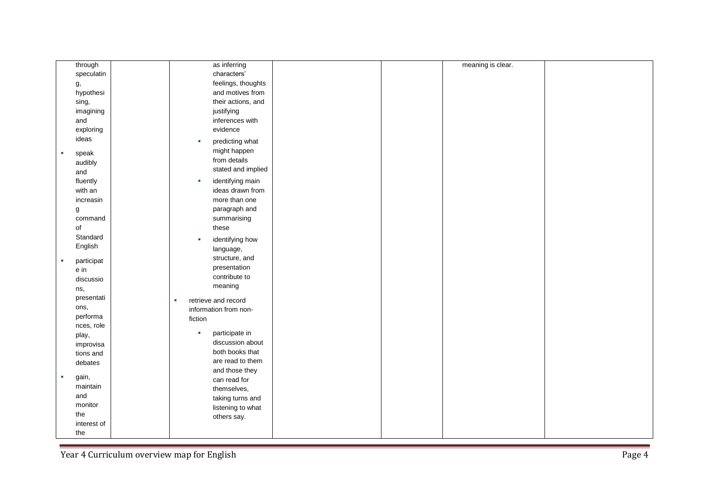| through         | as inferring             | meaning is clear. |
|-----------------|--------------------------|-------------------|
| speculatin      | characters'              |                   |
| g,              | feelings, thoughts       |                   |
| hypothesi       | and motives from         |                   |
| sing,           | their actions, and       |                   |
| imagining       | justifying               |                   |
| and             | inferences with          |                   |
| exploring       | evidence                 |                   |
| ideas           | predicting what<br>×     |                   |
|                 | might happen             |                   |
| speak<br>Ì.     | from details             |                   |
| audibly         | stated and implied       |                   |
| and             |                          |                   |
| fluently        | identifying main<br>٠    |                   |
| with an         | ideas drawn from         |                   |
| increasin       | more than one            |                   |
| g               | paragraph and            |                   |
| command         | summarising              |                   |
| of              | these                    |                   |
| Standard        | identifying how<br>×     |                   |
| English         | language,                |                   |
| participat<br>× | structure, and           |                   |
| e in            | presentation             |                   |
| discussio       | contribute to            |                   |
| ns,             | meaning                  |                   |
| presentati      | retrieve and record<br>× |                   |
| ons,            | information from non-    |                   |
| performa        | fiction                  |                   |
| nces, role      |                          |                   |
| play,           | participate in<br>×      |                   |
| improvisa       | discussion about         |                   |
| tions and       | both books that          |                   |
| debates         | are read to them         |                   |
| gain,<br>×      | and those they           |                   |
| maintain        | can read for             |                   |
| and             | themselves,              |                   |
| monitor         | taking turns and         |                   |
| the             | listening to what        |                   |
| interest of     | others say.              |                   |
| the             |                          |                   |
|                 |                          |                   |